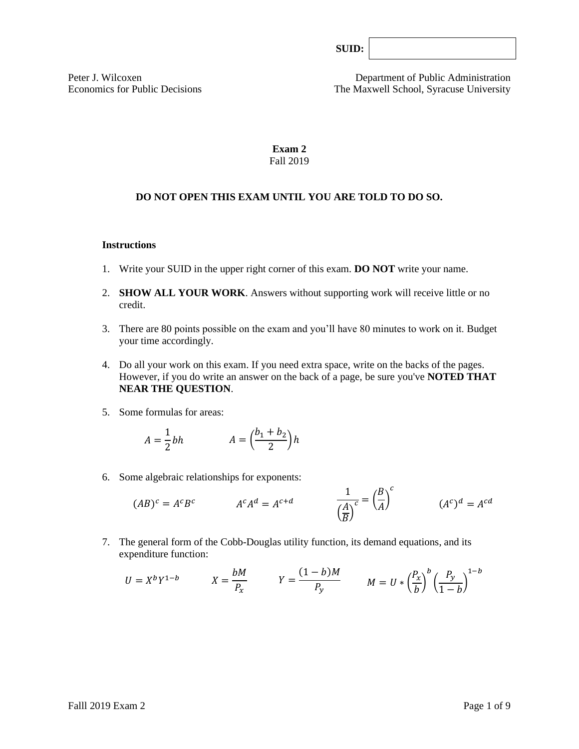| SUID: |  |
|-------|--|
|-------|--|

Peter J. Wilcoxen Department of Public Administration Economics for Public Decisions The Maxwell School, Syracuse University

## **Exam 2** Fall 2019

## **DO NOT OPEN THIS EXAM UNTIL YOU ARE TOLD TO DO SO.**

#### **Instructions**

- 1. Write your SUID in the upper right corner of this exam. **DO NOT** write your name.
- 2. **SHOW ALL YOUR WORK**. Answers without supporting work will receive little or no credit.
- 3. There are 80 points possible on the exam and you'll have 80 minutes to work on it. Budget your time accordingly.
- 4. Do all your work on this exam. If you need extra space, write on the backs of the pages. However, if you do write an answer on the back of a page, be sure you've **NOTED THAT NEAR THE QUESTION**.
- 5. Some formulas for areas:

$$
A = \frac{1}{2}bh \qquad A = \left(\frac{b_1 + b_2}{2}\right)h
$$

6. Some algebraic relationships for exponents:

$$
(AB)^c = A^c B^c \qquad \qquad A^c A^d = A^{c+d} \qquad \qquad \frac{1}{\left(\frac{A}{B}\right)^c} = \left(\frac{B}{A}\right)^c \qquad \qquad (A^c)^d = A^{cd}
$$

7. The general form of the Cobb-Douglas utility function, its demand equations, and its expenditure function:

$$
U = X^b Y^{1-b} \qquad X = \frac{bM}{P_x} \qquad Y = \frac{(1-b)M}{P_y} \qquad M = U * \left(\frac{P_x}{b}\right)^b \left(\frac{P_y}{1-b}\right)^{1-b}
$$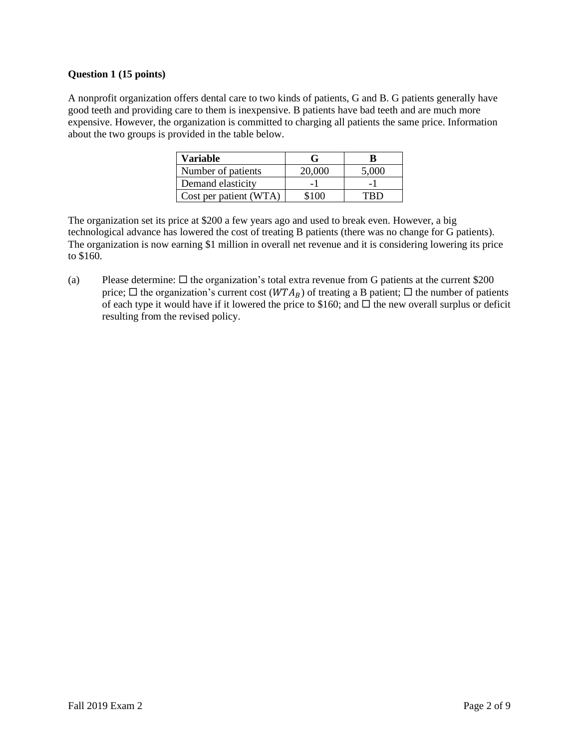### **Question 1 (15 points)**

A nonprofit organization offers dental care to two kinds of patients, G and B. G patients generally have good teeth and providing care to them is inexpensive. B patients have bad teeth and are much more expensive. However, the organization is committed to charging all patients the same price. Information about the two groups is provided in the table below.

| <b>Variable</b>        |        |       |  |
|------------------------|--------|-------|--|
| Number of patients     | 20,000 | 5,000 |  |
| Demand elasticity      |        |       |  |
| Cost per patient (WTA) | \$100  |       |  |

The organization set its price at \$200 a few years ago and used to break even. However, a big technological advance has lowered the cost of treating B patients (there was no change for G patients). The organization is now earning \$1 million in overall net revenue and it is considering lowering its price to \$160.

(a) Please determine:  $\Box$  the organization's total extra revenue from G patients at the current \$200 price;  $\Box$  the organization's current cost ( $WTA_B$ ) of treating a B patient;  $\Box$  the number of patients of each type it would have if it lowered the price to \$160; and  $\Box$  the new overall surplus or deficit resulting from the revised policy.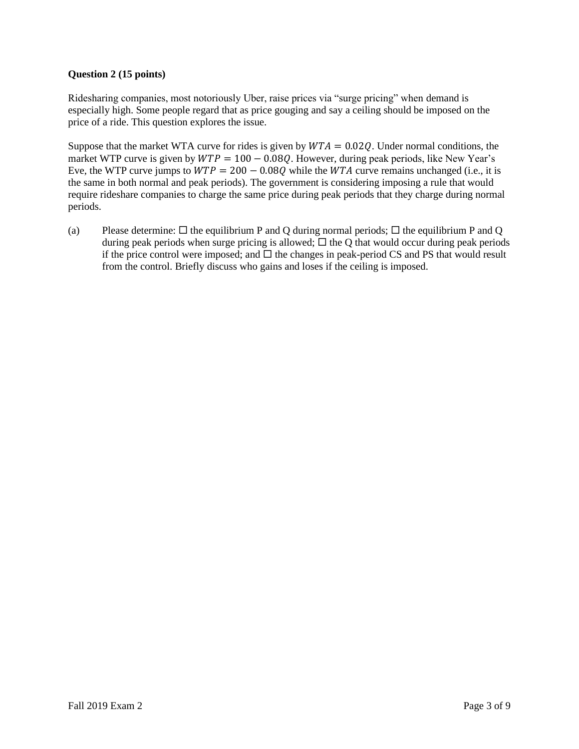# **Question 2 (15 points)**

Ridesharing companies, most notoriously Uber, raise prices via "surge pricing" when demand is especially high. Some people regard that as price gouging and say a ceiling should be imposed on the price of a ride. This question explores the issue.

Suppose that the market WTA curve for rides is given by  $WTA = 0.02Q$ . Under normal conditions, the market WTP curve is given by  $WTP = 100 - 0.08Q$ . However, during peak periods, like New Year's Eve, the WTP curve jumps to  $WTP = 200 - 0.08Q$  while the WTA curve remains unchanged (i.e., it is the same in both normal and peak periods). The government is considering imposing a rule that would require rideshare companies to charge the same price during peak periods that they charge during normal periods.

(a) Please determine:  $\Box$  the equilibrium P and Q during normal periods;  $\Box$  the equilibrium P and Q during peak periods when surge pricing is allowed;  $\Box$  the Q that would occur during peak periods if the price control were imposed; and  $\Box$  the changes in peak-period CS and PS that would result from the control. Briefly discuss who gains and loses if the ceiling is imposed.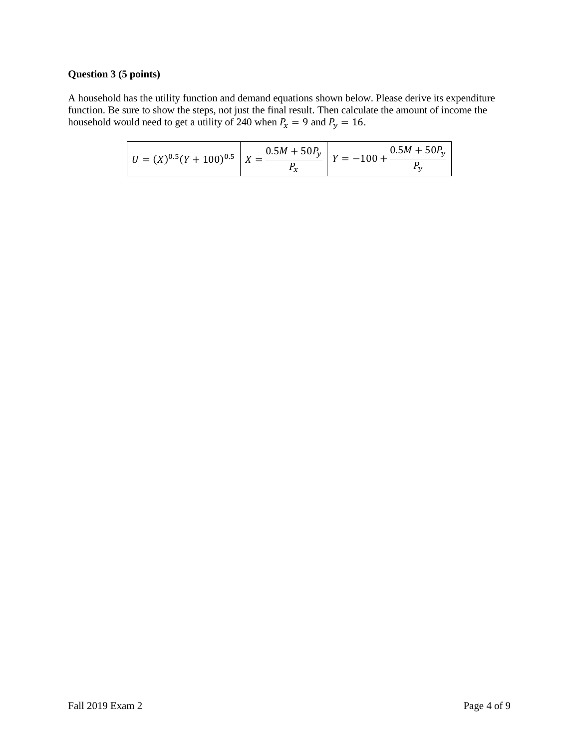# **Question 3 (5 points)**

A household has the utility function and demand equations shown below. Please derive its expenditure function. Be sure to show the steps, not just the final result. Then calculate the amount of income the household would need to get a utility of 240 when  $P_x = 9$  and  $P_y = 16$ .

|  |  | $U = (X)^{0.5} (Y + 100)^{0.5}$ $X = \frac{0.5M + 50P_y}{R}$ $Y = -100 + \frac{0.5M + 50P_y}{R}$ |
|--|--|--------------------------------------------------------------------------------------------------|
|--|--|--------------------------------------------------------------------------------------------------|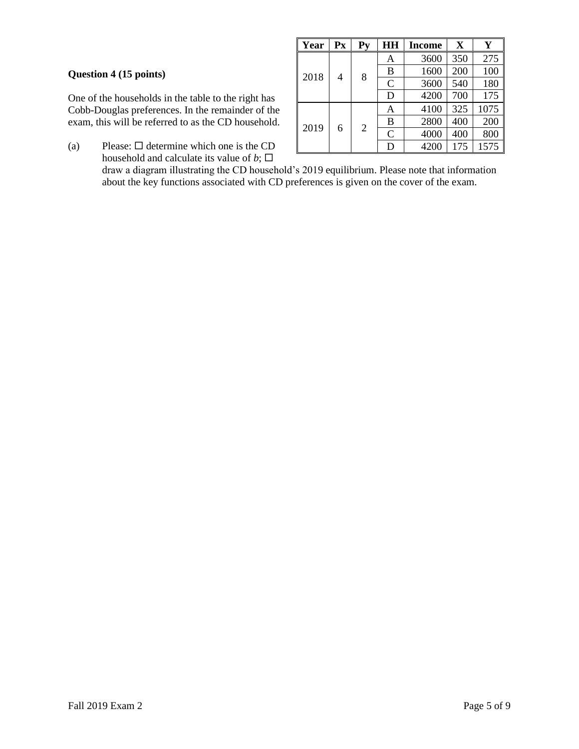## **Question 4 (15 points)**

One of the households in the table to the right has Cobb-Douglas preferences. In the remainder of the exam, this will be referred to as the CD household.

(a) Please:  $\Box$  determine which one is the CD household and calculate its value of  $b$ ;  $\square$ 

| Year | $P_{X}$ | Py             | HH             | <b>Income</b> | X   | Y    |
|------|---------|----------------|----------------|---------------|-----|------|
| 2018 | 4       | 8              | Α              | 3600          | 350 | 275  |
|      |         |                | B              | 1600          | 200 | 100  |
|      |         |                | $\overline{C}$ | 3600          | 540 | 180  |
|      |         |                | D              | 4200          | 700 | 175  |
| 2019 | 6       | $\overline{2}$ | Α              | 4100          | 325 | 1075 |
|      |         |                | B              | 2800          | 400 | 200  |
|      |         |                | $\overline{C}$ | 4000          | 400 | 800  |
|      |         |                | D              | 4200          | 175 | 1575 |

draw a diagram illustrating the CD household's 2019 equilibrium. Please note that information about the key functions associated with CD preferences is given on the cover of the exam.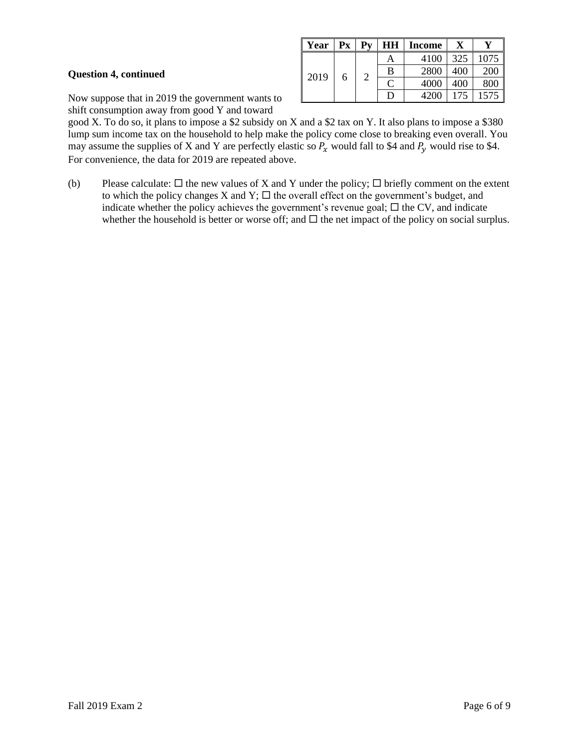### **Question 4, continued**

**Year**  $\vert$  **Px**  $\vert$  **Py**  $\vert$  **HH**  $\vert$  **Income**  $\vert$  **X**  $\vert$  **Y**  $2019$  6 2 A 4100 325 1075 B 2800 400 200  $C$  4000 400 800 D | 4200 | 175 | 1575

Now suppose that in 2019 the government wants to shift consumption away from good Y and toward

good X. To do so, it plans to impose a \$2 subsidy on X and a \$2 tax on Y. It also plans to impose a \$380 lump sum income tax on the household to help make the policy come close to breaking even overall. You may assume the supplies of X and Y are perfectly elastic so  $P_x$  would fall to \$4 and  $P_y$  would rise to \$4. For convenience, the data for 2019 are repeated above.

(b) Please calculate:  $\Box$  the new values of X and Y under the policy;  $\Box$  briefly comment on the extent to which the policy changes X and Y;  $\Box$  the overall effect on the government's budget, and indicate whether the policy achieves the government's revenue goal;  $\Box$  the CV, and indicate whether the household is better or worse off; and  $\Box$  the net impact of the policy on social surplus.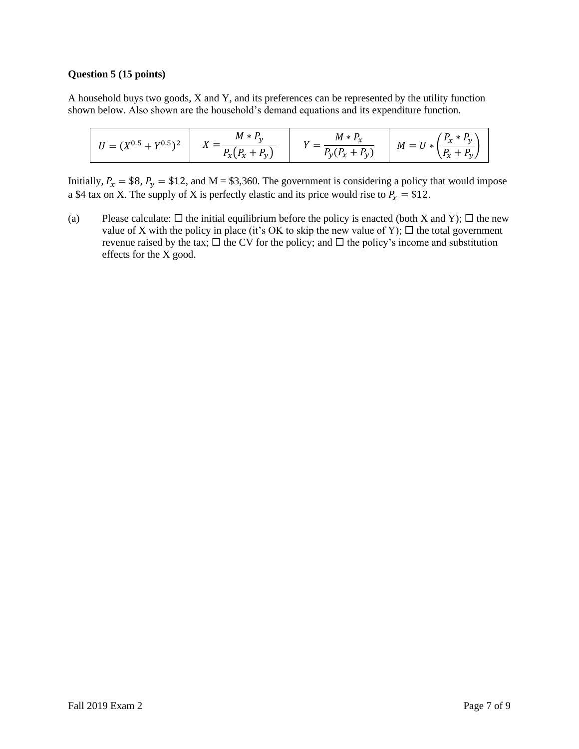### **Question 5 (15 points)**

A household buys two goods, X and Y, and its preferences can be represented by the utility function shown below. Also shown are the household's demand equations and its expenditure function.

$$
U = (X^{0.5} + Y^{0.5})^2
$$
  $X = \frac{M * P_y}{P_x(P_x + P_y)}$   $Y = \frac{M * P_x}{P_y(P_x + P_y)}$   $M = U * (\frac{P_x * P_y}{P_x + P_y})$ 

Initially,  $P_x = $8$ ,  $P_y = $12$ , and M = \$3,360. The government is considering a policy that would impose a \$4 tax on X. The supply of X is perfectly elastic and its price would rise to  $P_x = $12$ .

(a) Please calculate:  $\Box$  the initial equilibrium before the policy is enacted (both X and Y);  $\Box$  the new value of X with the policy in place (it's OK to skip the new value of Y);  $\Box$  the total government revenue raised by the tax;  $\Box$  the CV for the policy; and  $\Box$  the policy's income and substitution effects for the X good.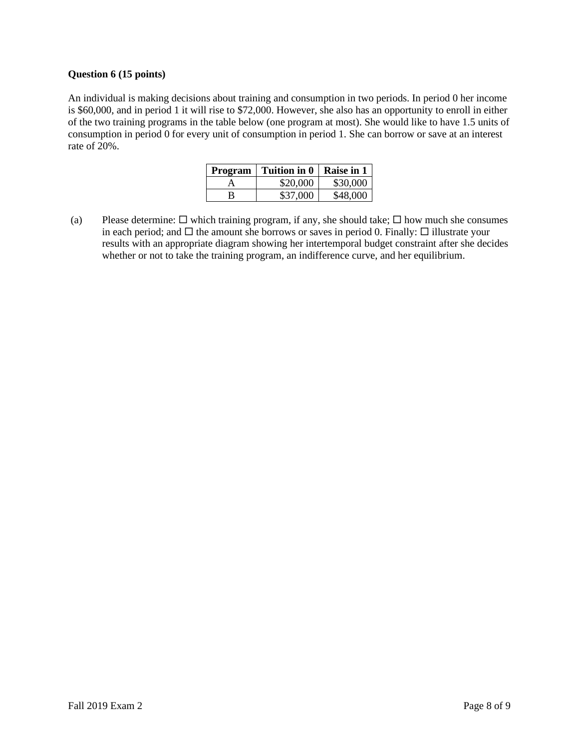### **Question 6 (15 points)**

An individual is making decisions about training and consumption in two periods. In period 0 her income is \$60,000, and in period 1 it will rise to \$72,000. However, she also has an opportunity to enroll in either of the two training programs in the table below (one program at most). She would like to have 1.5 units of consumption in period 0 for every unit of consumption in period 1. She can borrow or save at an interest rate of 20%.

| <b>Program</b> | Tuition in 0 | Raise in 1 |
|----------------|--------------|------------|
|                | \$20,000     | \$30,000   |
|                | \$37,000     | \$48,000   |

(a) Please determine:  $\Box$  which training program, if any, she should take;  $\Box$  how much she consumes in each period; and  $\Box$  the amount she borrows or saves in period 0. Finally:  $\Box$  illustrate your results with an appropriate diagram showing her intertemporal budget constraint after she decides whether or not to take the training program, an indifference curve, and her equilibrium.